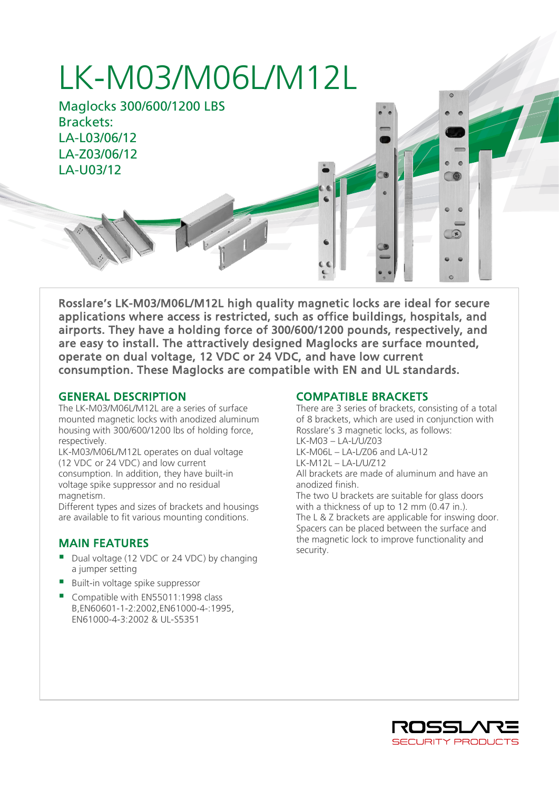# LK-M03/M06L/M12L

Maglocks 300/600/1200 LBS Brackets: LA-L03/06/12 LA-Z03/06/12 LA-U03/12

Rosslare's LK-M03/M06L/M12L high quality magnetic locks are ideal for secure applications where access is restricted, such as office buildings, hospitals, and airports. They have a holding force of 300/600/1200 pounds, respectively, and are easy to install. The attractively designed Maglocks are surface mounted, operate on dual voltage, 12 VDC or 24 VDC, and have low current consumption. These Maglocks are compatible with EN and UL standards.

#### GENERAL DESCRIPTION

I

The LK-M03/M06L/M12L are a series of surface mounted magnetic locks with anodized aluminum housing with 300/600/1200 lbs of holding force, respectively.

LK-M03/M06L/M12L operates on dual voltage (12 VDC or 24 VDC) and low current consumption. In addition, they have built-in voltage spike suppressor and no residual magnetism.

Different types and sizes of brackets and housings are available to fit various mounting conditions.

#### MAIN FEATURES

- Dual voltage (12 VDC or 24 VDC) by changing a jumper setting
- Built-in voltage spike suppressor
- Compatible with EN55011:1998 class B,EN60601-1-2:2002,EN61000-4-:1995, EN61000-4-3:2002 & UL-S5351

### COMPATIBLE BRACKETS

There are 3 series of brackets, consisting of a total of 8 brackets, which are used in conjunction with Rosslare's 3 magnetic locks, as follows: LK-M03 – LA-L/U/Z03 LK-M06L – LA-L/Z06 and LA-U12 LK-M12L – LA-L/U/Z12 All brackets are made of aluminum and have an anodized finish. The two U brackets are suitable for glass doors with a thickness of up to 12 mm (0.47 in.).

The L & Z brackets are applicable for inswing door. Spacers can be placed between the surface and the magnetic lock to improve functionality and security.



 $\mathbf{F}$